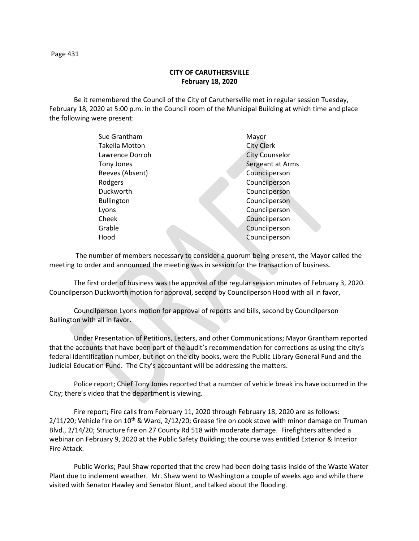Page 431

## **CITY OF CARUTHERSVILLE February 18, 2020**

Be it remembered the Council of the City of Caruthersville met in regular session Tuesday, February 18, 2020 at 5:00 p.m. in the Council room of the Municipal Building at which time and place the following were present:

| Sue Grantham      | Mayor                 |
|-------------------|-----------------------|
| Takella Motton    | <b>City Clerk</b>     |
| Lawrence Dorroh   | <b>City Counselor</b> |
| Tony Jones        | Sergeant at Arms      |
| Reeves (Absent)   | Councilperson         |
| Rodgers           | Councilperson         |
| Duckworth         | Councilperson         |
| <b>Bullington</b> | Councilperson         |
| Lyons             | Councilperson         |
| Cheek             | Councilperson         |
| Grable            | Councilperson         |
| Hood              | Councilperson         |
|                   |                       |

 The number of members necessary to consider a quorum being present, the Mayor called the meeting to order and announced the meeting was in session for the transaction of business.

The first order of business was the approval of the regular session minutes of February 3, 2020. Councilperson Duckworth motion for approval, second by Councilperson Hood with all in favor,

Councilperson Lyons motion for approval of reports and bills, second by Councilperson Bullington with all in favor.

Under Presentation of Petitions, Letters, and other Communications; Mayor Grantham reported that the accounts that have been part of the audit's recommendation for corrections as using the city's federal identification number, but not on the city books, were the Public Library General Fund and the Judicial Education Fund. The City's accountant will be addressing the matters.

Police report; Chief Tony Jones reported that a number of vehicle break ins have occurred in the City; there's video that the department is viewing.

Fire report; Fire calls from February 11, 2020 through February 18, 2020 are as follows:  $2/11/20$ ; Vehicle fire on  $10^{th}$  & Ward,  $2/12/20$ ; Grease fire on cook stove with minor damage on Truman Blvd., 2/14/20; Structure fire on 27 County Rd 518 with moderate damage. Firefighters attended a webinar on February 9, 2020 at the Public Safety Building; the course was entitled Exterior & Interior Fire Attack.

Public Works; Paul Shaw reported that the crew had been doing tasks inside of the Waste Water Plant due to inclement weather. Mr. Shaw went to Washington a couple of weeks ago and while there visited with Senator Hawley and Senator Blunt, and talked about the flooding.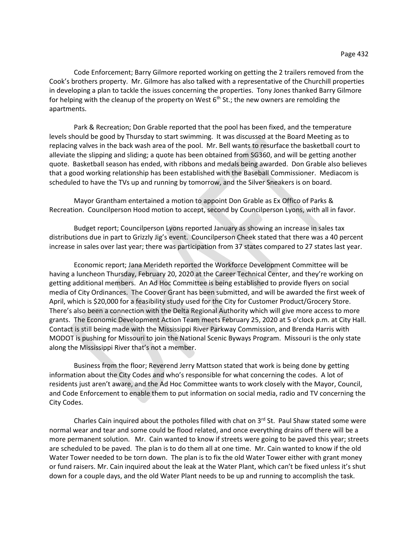Code Enforcement; Barry Gilmore reported working on getting the 2 trailers removed from the Cook's brothers property. Mr. Gilmore has also talked with a representative of the Churchill properties in developing a plan to tackle the issues concerning the properties. Tony Jones thanked Barry Gilmore for helping with the cleanup of the property on West  $6<sup>th</sup>$  St.; the new owners are remolding the apartments.

Park & Recreation; Don Grable reported that the pool has been fixed, and the temperature levels should be good by Thursday to start swimming. It was discussed at the Board Meeting as to replacing valves in the back wash area of the pool. Mr. Bell wants to resurface the basketball court to alleviate the slipping and sliding; a quote has been obtained from SG360, and will be getting another quote. Basketball season has ended, with ribbons and medals being awarded. Don Grable also believes that a good working relationship has been established with the Baseball Commissioner. Mediacom is scheduled to have the TVs up and running by tomorrow, and the Silver Sneakers is on board.

Mayor Grantham entertained a motion to appoint Don Grable as Ex Offico of Parks & Recreation. Councilperson Hood motion to accept, second by Councilperson Lyons, with all in favor.

Budget report; Councilperson Lyons reported January as showing an increase in sales tax distributions due in part to Grizzly Jig's event. Councilperson Cheek stated that there was a 40 percent increase in sales over last year; there was participation from 37 states compared to 27 states last year.

Economic report; Jana Merideth reported the Workforce Development Committee will be having a luncheon Thursday, February 20, 2020 at the Career Technical Center, and they're working on getting additional members. An Ad Hoc Committee is being established to provide flyers on social media of City Ordinances. The Coover Grant has been submitted, and will be awarded the first week of April, which is \$20,000 for a feasibility study used for the City for Customer Product/Grocery Store. There's also been a connection with the Delta Regional Authority which will give more access to more grants. The Economic Development Action Team meets February 25, 2020 at 5 o'clock p.m. at City Hall. Contact is still being made with the Mississippi River Parkway Commission, and Brenda Harris with MODOT is pushing for Missouri to join the National Scenic Byways Program. Missouri is the only state along the Mississippi River that's not a member.

Business from the floor; Reverend Jerry Mattson stated that work is being done by getting information about the City Codes and who's responsible for what concerning the codes. A lot of residents just aren't aware, and the Ad Hoc Committee wants to work closely with the Mayor, Council, and Code Enforcement to enable them to put information on social media, radio and TV concerning the City Codes.

Charles Cain inquired about the potholes filled with chat on  $3<sup>rd</sup>$  St. Paul Shaw stated some were normal wear and tear and some could be flood related, and once everything drains off there will be a more permanent solution. Mr. Cain wanted to know if streets were going to be paved this year; streets are scheduled to be paved. The plan is to do them all at one time. Mr. Cain wanted to know if the old Water Tower needed to be torn down. The plan is to fix the old Water Tower either with grant money or fund raisers. Mr. Cain inquired about the leak at the Water Plant, which can't be fixed unless it's shut down for a couple days, and the old Water Plant needs to be up and running to accomplish the task.